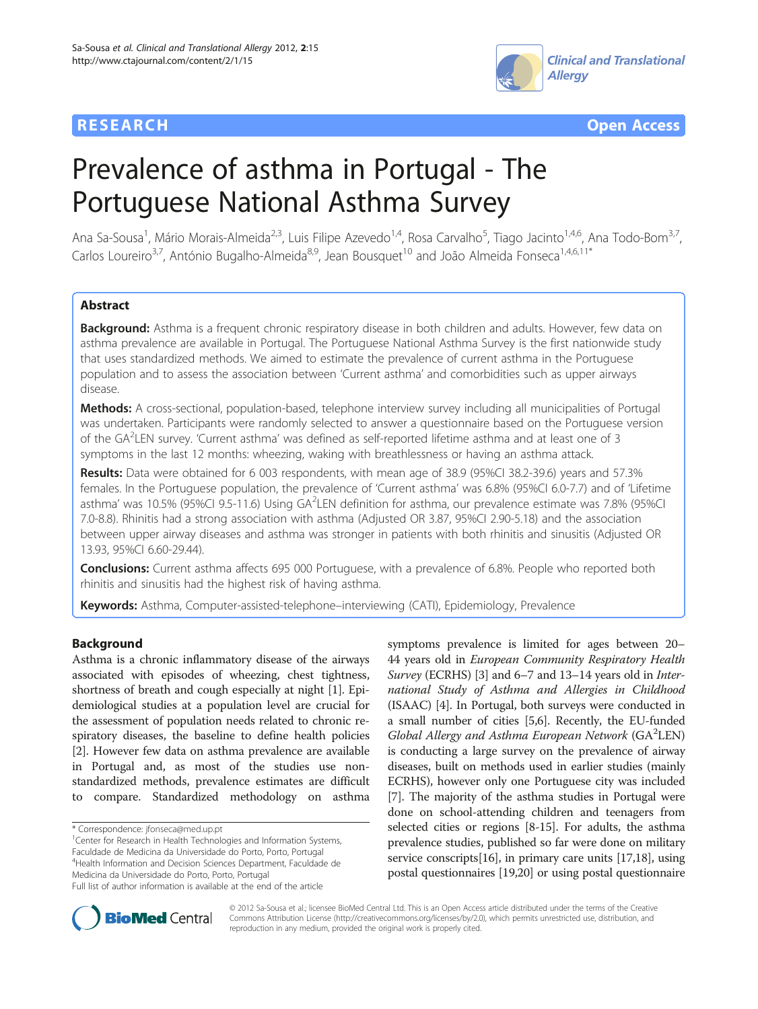



# Prevalence of asthma in Portugal - The Portuguese National Asthma Survey

Ana Sa-Sousa<sup>1</sup>, Mário Morais-Almeida<sup>2,3</sup>, Luis Filipe Azevedo<sup>1,4</sup>, Rosa Carvalho<sup>5</sup>, Tiago Jacinto<sup>1,4,6</sup>, Ana Todo-Bom<sup>3,7</sup>, Carlos Loureiro<sup>3,7</sup>, António Bugalho-Almeida<sup>8,9</sup>, Jean Bousquet<sup>10</sup> and João Almeida Fonseca<sup>1,4,6,11\*</sup>

# Abstract

Background: Asthma is a frequent chronic respiratory disease in both children and adults. However, few data on asthma prevalence are available in Portugal. The Portuguese National Asthma Survey is the first nationwide study that uses standardized methods. We aimed to estimate the prevalence of current asthma in the Portuguese population and to assess the association between 'Current asthma' and comorbidities such as upper airways disease.

Methods: A cross-sectional, population-based, telephone interview survey including all municipalities of Portugal was undertaken. Participants were randomly selected to answer a questionnaire based on the Portuguese version of the GA<sup>2</sup>LEN survey. 'Current asthma' was defined as self-reported lifetime asthma and at least one of 3 symptoms in the last 12 months: wheezing, waking with breathlessness or having an asthma attack.

Results: Data were obtained for 6 003 respondents, with mean age of 38.9 (95%CI 38.2-39.6) years and 57.3% females. In the Portuguese population, the prevalence of 'Current asthma' was 6.8% (95%CI 6.0-7.7) and of 'Lifetime asthma' was 10.5% (95%CI 9.5-11.6) Using GA<sup>2</sup>LEN definition for asthma, our prevalence estimate was 7.8% (95%CI 7.0-8.8). Rhinitis had a strong association with asthma (Adjusted OR 3.87, 95%CI 2.90-5.18) and the association between upper airway diseases and asthma was stronger in patients with both rhinitis and sinusitis (Adjusted OR 13.93, 95%CI 6.60-29.44).

**Conclusions:** Current asthma affects 695 000 Portuguese, with a prevalence of 6.8%. People who reported both rhinitis and sinusitis had the highest risk of having asthma.

Keywords: Asthma, Computer-assisted-telephone–interviewing (CATI), Epidemiology, Prevalence

# Background

Asthma is a chronic inflammatory disease of the airways associated with episodes of wheezing, chest tightness, shortness of breath and cough especially at night [[1\]](#page-10-0). Epidemiological studies at a population level are crucial for the assessment of population needs related to chronic respiratory diseases, the baseline to define health policies [[2\]](#page-10-0). However few data on asthma prevalence are available in Portugal and, as most of the studies use nonstandardized methods, prevalence estimates are difficult to compare. Standardized methodology on asthma

<sup>1</sup> Center for Research in Health Technologies and Information Systems, Faculdade de Medicina da Universidade do Porto, Porto, Portugal 4 Health Information and Decision Sciences Department, Faculdade de Medicina da Universidade do Porto, Porto, Portugal

symptoms prevalence is limited for ages between 20– 44 years old in European Community Respiratory Health Survey (ECRHS) [\[3](#page-10-0)] and 6–7 and 13–14 years old in *Inter*national Study of Asthma and Allergies in Childhood (ISAAC) [\[4](#page-10-0)]. In Portugal, both surveys were conducted in a small number of cities [\[5,6](#page-10-0)]. Recently, the EU-funded Global Allergy and Asthma European Network (GA<sup>2</sup>LEN) is conducting a large survey on the prevalence of airway diseases, built on methods used in earlier studies (mainly ECRHS), however only one Portuguese city was included [[7\]](#page-10-0). The majority of the asthma studies in Portugal were done on school-attending children and teenagers from selected cities or regions [[8-15\]](#page-10-0). For adults, the asthma prevalence studies, published so far were done on military service conscripts[\[16\]](#page-10-0), in primary care units [[17,18\]](#page-10-0), using postal questionnaires [\[19,](#page-10-0)[20](#page-11-0)] or using postal questionnaire



© 2012 Sa-Sousa et al.; licensee BioMed Central Ltd. This is an Open Access article distributed under the terms of the Creative Commons Attribution License [\(http://creativecommons.org/licenses/by/2.0\)](http://creativecommons.org/licenses/by/2.0), which permits unrestricted use, distribution, and reproduction in any medium, provided the original work is properly cited.

<sup>\*</sup> Correspondence: [jfonseca@med.up.pt](mailto:jfonseca@med.up.pt) <sup>1</sup>

Full list of author information is available at the end of the article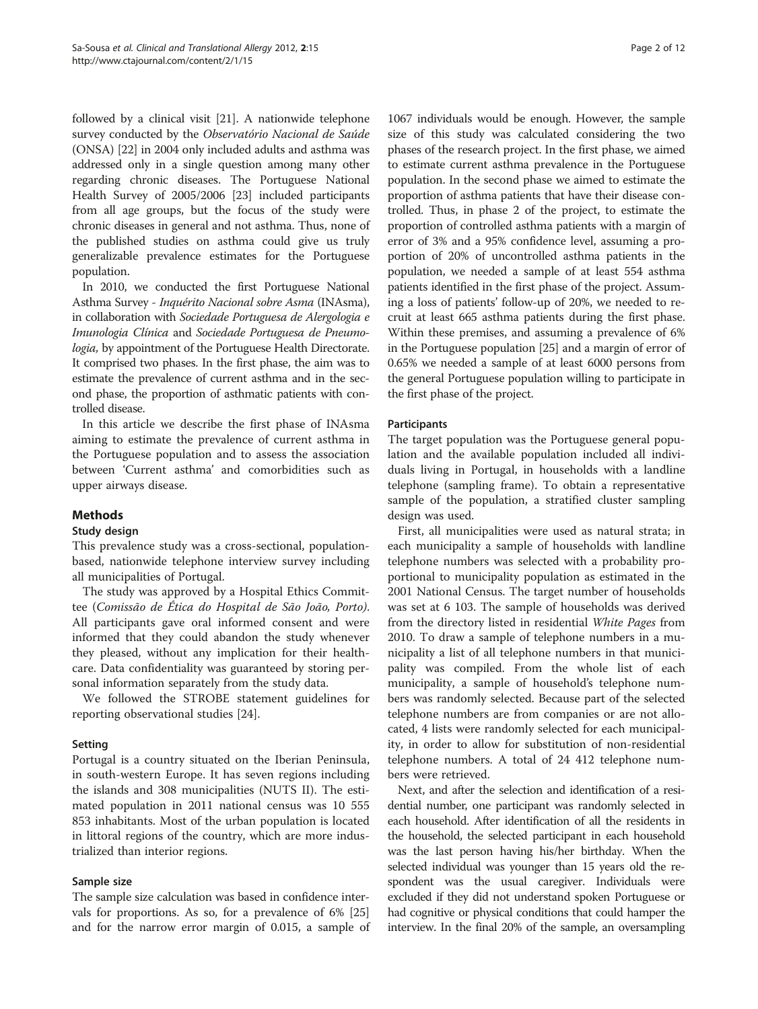followed by a clinical visit [[21](#page-11-0)]. A nationwide telephone survey conducted by the Observatório Nacional de Saúde (ONSA) [\[22](#page-11-0)] in 2004 only included adults and asthma was addressed only in a single question among many other regarding chronic diseases. The Portuguese National Health Survey of 2005/2006 [\[23](#page-11-0)] included participants from all age groups, but the focus of the study were chronic diseases in general and not asthma. Thus, none of the published studies on asthma could give us truly generalizable prevalence estimates for the Portuguese population.

In 2010, we conducted the first Portuguese National Asthma Survey - Inquérito Nacional sobre Asma (INAsma), in collaboration with Sociedade Portuguesa de Alergologia e Imunologia Clínica and Sociedade Portuguesa de Pneumologia, by appointment of the Portuguese Health Directorate. It comprised two phases. In the first phase, the aim was to estimate the prevalence of current asthma and in the second phase, the proportion of asthmatic patients with controlled disease.

In this article we describe the first phase of INAsma aiming to estimate the prevalence of current asthma in the Portuguese population and to assess the association between 'Current asthma' and comorbidities such as upper airways disease.

# Methods

# Study design

This prevalence study was a cross-sectional, populationbased, nationwide telephone interview survey including all municipalities of Portugal.

The study was approved by a Hospital Ethics Committee (Comissão de Ética do Hospital de São João, Porto). All participants gave oral informed consent and were informed that they could abandon the study whenever they pleased, without any implication for their healthcare. Data confidentiality was guaranteed by storing personal information separately from the study data.

We followed the STROBE statement guidelines for reporting observational studies [\[24](#page-11-0)].

# Setting

Portugal is a country situated on the Iberian Peninsula, in south-western Europe. It has seven regions including the islands and 308 municipalities (NUTS II). The estimated population in 2011 national census was 10 555 853 inhabitants. Most of the urban population is located in littoral regions of the country, which are more industrialized than interior regions.

# Sample size

The sample size calculation was based in confidence intervals for proportions. As so, for a prevalence of 6% [[25](#page-11-0)] and for the narrow error margin of 0.015, a sample of

1067 individuals would be enough. However, the sample size of this study was calculated considering the two phases of the research project. In the first phase, we aimed to estimate current asthma prevalence in the Portuguese population. In the second phase we aimed to estimate the proportion of asthma patients that have their disease controlled. Thus, in phase 2 of the project, to estimate the proportion of controlled asthma patients with a margin of error of 3% and a 95% confidence level, assuming a proportion of 20% of uncontrolled asthma patients in the population, we needed a sample of at least 554 asthma patients identified in the first phase of the project. Assuming a loss of patients' follow-up of 20%, we needed to recruit at least 665 asthma patients during the first phase. Within these premises, and assuming a prevalence of 6% in the Portuguese population [[25](#page-11-0)] and a margin of error of 0.65% we needed a sample of at least 6000 persons from the general Portuguese population willing to participate in the first phase of the project.

# **Participants**

The target population was the Portuguese general population and the available population included all individuals living in Portugal, in households with a landline telephone (sampling frame). To obtain a representative sample of the population, a stratified cluster sampling design was used.

First, all municipalities were used as natural strata; in each municipality a sample of households with landline telephone numbers was selected with a probability proportional to municipality population as estimated in the 2001 National Census. The target number of households was set at 6 103. The sample of households was derived from the directory listed in residential White Pages from 2010. To draw a sample of telephone numbers in a municipality a list of all telephone numbers in that municipality was compiled. From the whole list of each municipality, a sample of household's telephone numbers was randomly selected. Because part of the selected telephone numbers are from companies or are not allocated, 4 lists were randomly selected for each municipality, in order to allow for substitution of non-residential telephone numbers. A total of 24 412 telephone numbers were retrieved.

Next, and after the selection and identification of a residential number, one participant was randomly selected in each household. After identification of all the residents in the household, the selected participant in each household was the last person having his/her birthday. When the selected individual was younger than 15 years old the respondent was the usual caregiver. Individuals were excluded if they did not understand spoken Portuguese or had cognitive or physical conditions that could hamper the interview. In the final 20% of the sample, an oversampling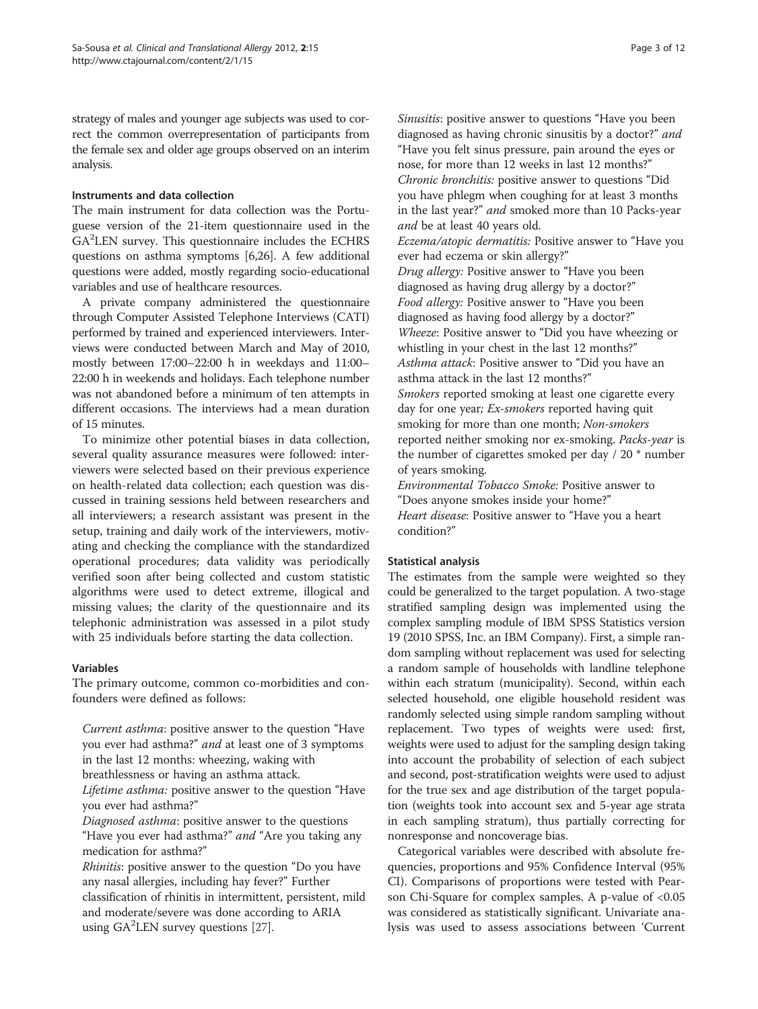strategy of males and younger age subjects was used to correct the common overrepresentation of participants from the female sex and older age groups observed on an interim analysis.

# Instruments and data collection

The main instrument for data collection was the Portuguese version of the 21-item questionnaire used in the GA<sup>2</sup>LEN survey. This questionnaire includes the ECHRS questions on asthma symptoms [\[6](#page-10-0)[,26\]](#page-11-0). A few additional questions were added, mostly regarding socio-educational variables and use of healthcare resources.

A private company administered the questionnaire through Computer Assisted Telephone Interviews (CATI) performed by trained and experienced interviewers. Interviews were conducted between March and May of 2010, mostly between 17:00–22:00 h in weekdays and 11:00– 22:00 h in weekends and holidays. Each telephone number was not abandoned before a minimum of ten attempts in different occasions. The interviews had a mean duration of 15 minutes.

To minimize other potential biases in data collection, several quality assurance measures were followed: interviewers were selected based on their previous experience on health-related data collection; each question was discussed in training sessions held between researchers and all interviewers; a research assistant was present in the setup, training and daily work of the interviewers, motivating and checking the compliance with the standardized operational procedures; data validity was periodically verified soon after being collected and custom statistic algorithms were used to detect extreme, illogical and missing values; the clarity of the questionnaire and its telephonic administration was assessed in a pilot study with 25 individuals before starting the data collection.

# Variables

The primary outcome, common co-morbidities and confounders were defined as follows:

Current asthma: positive answer to the question "Have you ever had asthma?" and at least one of 3 symptoms in the last 12 months: wheezing, waking with breathlessness or having an asthma attack. Lifetime asthma: positive answer to the question "Have

you ever had asthma?"

Diagnosed asthma: positive answer to the questions "Have you ever had asthma?" *and* "Are you taking any medication for asthma?"

Rhinitis: positive answer to the question "Do you have any nasal allergies, including hay fever?" Further classification of rhinitis in intermittent, persistent, mild and moderate/severe was done according to ARIA using GA<sup>2</sup>LEN survey questions [[27](#page-11-0)].

Sinusitis: positive answer to questions "Have you been diagnosed as having chronic sinusitis by a doctor?" and "Have you felt sinus pressure, pain around the eyes or nose, for more than 12 weeks in last 12 months?" Chronic bronchitis: positive answer to questions "Did you have phlegm when coughing for at least 3 months in the last year?" and smoked more than 10 Packs-year and be at least 40 years old.

Eczema/atopic dermatitis: Positive answer to "Have you ever had eczema or skin allergy?"

Drug allergy: Positive answer to "Have you been diagnosed as having drug allergy by a doctor?" Food allergy: Positive answer to "Have you been diagnosed as having food allergy by a doctor?" Wheeze: Positive answer to "Did you have wheezing or whistling in your chest in the last 12 months?" Asthma attack: Positive answer to "Did you have an asthma attack in the last 12 months?" Smokers reported smoking at least one cigarette every day for one year; *Ex-smokers* reported having quit smoking for more than one month; Non-smokers reported neither smoking nor ex-smoking. Packs-year is the number of cigarettes smoked per day / 20 \* number of years smoking.

Environmental Tobacco Smoke: Positive answer to "Does anyone smokes inside your home?" Heart disease: Positive answer to "Have you a heart condition?"

# Statistical analysis

The estimates from the sample were weighted so they could be generalized to the target population. A two-stage stratified sampling design was implemented using the complex sampling module of IBM SPSS Statistics version 19 (2010 SPSS, Inc. an IBM Company). First, a simple random sampling without replacement was used for selecting a random sample of households with landline telephone within each stratum (municipality). Second, within each selected household, one eligible household resident was randomly selected using simple random sampling without replacement. Two types of weights were used: first, weights were used to adjust for the sampling design taking into account the probability of selection of each subject and second, post-stratification weights were used to adjust for the true sex and age distribution of the target population (weights took into account sex and 5-year age strata in each sampling stratum), thus partially correcting for nonresponse and noncoverage bias.

Categorical variables were described with absolute frequencies, proportions and 95% Confidence Interval (95% CI). Comparisons of proportions were tested with Pearson Chi-Square for complex samples. A p-value of <0.05 was considered as statistically significant. Univariate analysis was used to assess associations between 'Current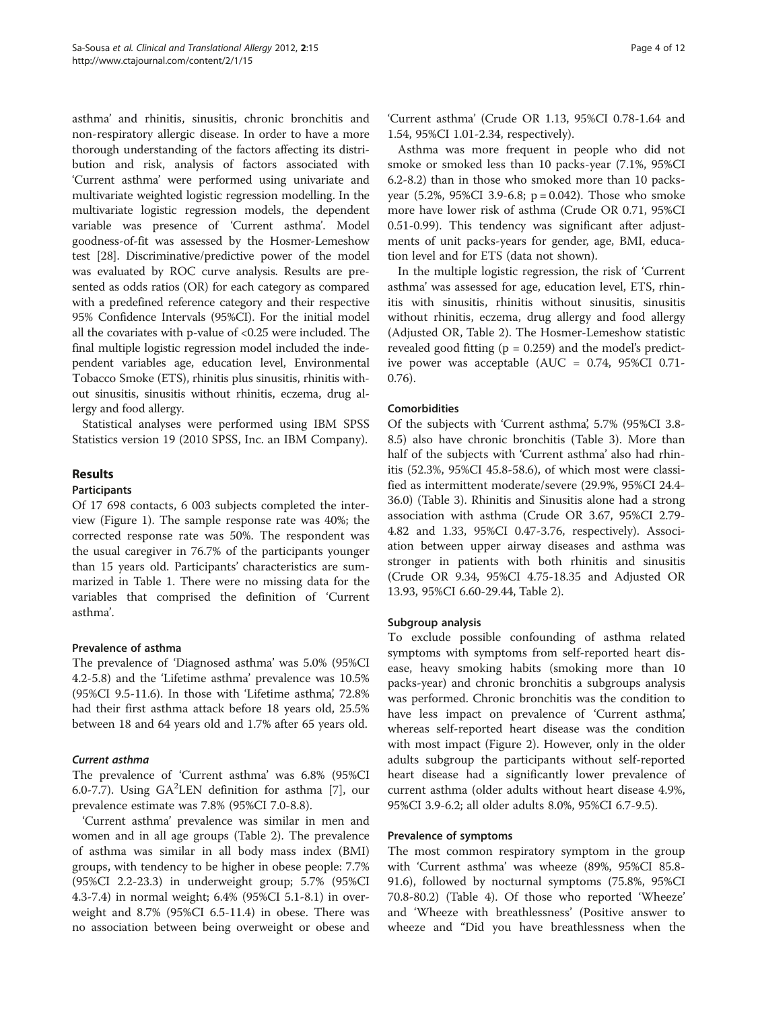asthma' and rhinitis, sinusitis, chronic bronchitis and non-respiratory allergic disease. In order to have a more thorough understanding of the factors affecting its distribution and risk, analysis of factors associated with 'Current asthma' were performed using univariate and multivariate weighted logistic regression modelling. In the multivariate logistic regression models, the dependent variable was presence of 'Current asthma'. Model goodness-of-fit was assessed by the Hosmer-Lemeshow test [\[28\]](#page-11-0). Discriminative/predictive power of the model was evaluated by ROC curve analysis. Results are presented as odds ratios (OR) for each category as compared with a predefined reference category and their respective 95% Confidence Intervals (95%CI). For the initial model all the covariates with p-value of <0.25 were included. The final multiple logistic regression model included the independent variables age, education level, Environmental Tobacco Smoke (ETS), rhinitis plus sinusitis, rhinitis without sinusitis, sinusitis without rhinitis, eczema, drug allergy and food allergy.

Statistical analyses were performed using IBM SPSS Statistics version 19 (2010 SPSS, Inc. an IBM Company).

# Results

# Participants

Of 17 698 contacts, 6 003 subjects completed the interview (Figure [1](#page-4-0)). The sample response rate was 40%; the corrected response rate was 50%. The respondent was the usual caregiver in 76.7% of the participants younger than 15 years old. Participants' characteristics are summarized in Table [1.](#page-5-0) There were no missing data for the variables that comprised the definition of 'Current asthma'.

# Prevalence of asthma

The prevalence of 'Diagnosed asthma' was 5.0% (95%CI 4.2-5.8) and the 'Lifetime asthma' prevalence was 10.5% (95%CI 9.5-11.6). In those with 'Lifetime asthma', 72.8% had their first asthma attack before 18 years old, 25.5% between 18 and 64 years old and 1.7% after 65 years old.

# Current asthma

The prevalence of 'Current asthma' was 6.8% (95%CI 6.0-7.7). Using  $GA^2LEN$  definition for asthma [\[7](#page-10-0)], our prevalence estimate was 7.8% (95%CI 7.0-8.8).

'Current asthma' prevalence was similar in men and women and in all age groups (Table [2\)](#page-6-0). The prevalence of asthma was similar in all body mass index (BMI) groups, with tendency to be higher in obese people: 7.7% (95%CI 2.2-23.3) in underweight group; 5.7% (95%CI 4.3-7.4) in normal weight; 6.4% (95%CI 5.1-8.1) in overweight and 8.7% (95%CI 6.5-11.4) in obese. There was no association between being overweight or obese and 'Current asthma' (Crude OR 1.13, 95%CI 0.78-1.64 and 1.54, 95%CI 1.01-2.34, respectively).

Asthma was more frequent in people who did not smoke or smoked less than 10 packs-year (7.1%, 95%CI 6.2-8.2) than in those who smoked more than 10 packsyear  $(5.2\%, 95\%CI, 3.9-6.8; p = 0.042)$ . Those who smoke more have lower risk of asthma (Crude OR 0.71, 95%CI 0.51-0.99). This tendency was significant after adjustments of unit packs-years for gender, age, BMI, education level and for ETS (data not shown).

In the multiple logistic regression, the risk of 'Current asthma' was assessed for age, education level, ETS, rhinitis with sinusitis, rhinitis without sinusitis, sinusitis without rhinitis, eczema, drug allergy and food allergy (Adjusted OR, Table [2\)](#page-6-0). The Hosmer-Lemeshow statistic revealed good fitting  $(p = 0.259)$  and the model's predictive power was acceptable (AUC = 0.74, 95%CI 0.71- 0.76).

# Comorbidities

Of the subjects with 'Current asthma', 5.7% (95%CI 3.8- 8.5) also have chronic bronchitis (Table [3\)](#page-7-0). More than half of the subjects with 'Current asthma' also had rhinitis (52.3%, 95%CI 45.8-58.6), of which most were classified as intermittent moderate/severe (29.9%, 95%CI 24.4- 36.0) (Table [3\)](#page-7-0). Rhinitis and Sinusitis alone had a strong association with asthma (Crude OR 3.67, 95%CI 2.79- 4.82 and 1.33, 95%CI 0.47-3.76, respectively). Association between upper airway diseases and asthma was stronger in patients with both rhinitis and sinusitis (Crude OR 9.34, 95%CI 4.75-18.35 and Adjusted OR 13.93, 95%CI 6.60-29.44, Table [2\)](#page-6-0).

# Subgroup analysis

To exclude possible confounding of asthma related symptoms with symptoms from self-reported heart disease, heavy smoking habits (smoking more than 10 packs-year) and chronic bronchitis a subgroups analysis was performed. Chronic bronchitis was the condition to have less impact on prevalence of 'Current asthma', whereas self-reported heart disease was the condition with most impact (Figure [2\)](#page-8-0). However, only in the older adults subgroup the participants without self-reported heart disease had a significantly lower prevalence of current asthma (older adults without heart disease 4.9%, 95%CI 3.9-6.2; all older adults 8.0%, 95%CI 6.7-9.5).

# Prevalence of symptoms

The most common respiratory symptom in the group with 'Current asthma' was wheeze (89%, 95%CI 85.8- 91.6), followed by nocturnal symptoms (75.8%, 95%CI 70.8-80.2) (Table [4\)](#page-8-0). Of those who reported 'Wheeze' and 'Wheeze with breathlessness' (Positive answer to wheeze and "Did you have breathlessness when the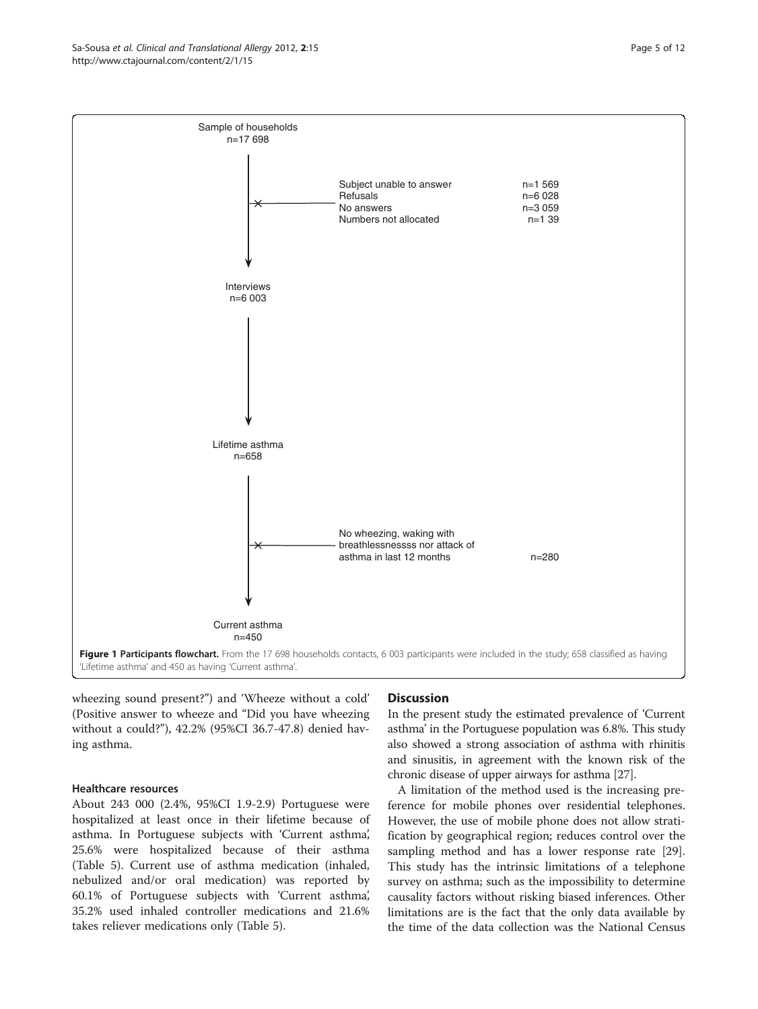<span id="page-4-0"></span>

wheezing sound present?") and 'Wheeze without a cold' (Positive answer to wheeze and "Did you have wheezing without a could?"), 42.2% (95%CI 36.7-47.8) denied having asthma.

# Healthcare resources

About 243 000 (2.4%, 95%CI 1.9-2.9) Portuguese were hospitalized at least once in their lifetime because of asthma. In Portuguese subjects with 'Current asthma', 25.6% were hospitalized because of their asthma (Table [5\)](#page-9-0). Current use of asthma medication (inhaled, nebulized and/or oral medication) was reported by 60.1% of Portuguese subjects with 'Current asthma', 35.2% used inhaled controller medications and 21.6% takes reliever medications only (Table [5](#page-9-0)).

# **Discussion**

In the present study the estimated prevalence of 'Current asthma' in the Portuguese population was 6.8%. This study also showed a strong association of asthma with rhinitis and sinusitis, in agreement with the known risk of the chronic disease of upper airways for asthma [\[27](#page-11-0)].

A limitation of the method used is the increasing preference for mobile phones over residential telephones. However, the use of mobile phone does not allow stratification by geographical region; reduces control over the sampling method and has a lower response rate [\[29](#page-11-0)]. This study has the intrinsic limitations of a telephone survey on asthma; such as the impossibility to determine causality factors without risking biased inferences. Other limitations are is the fact that the only data available by the time of the data collection was the National Census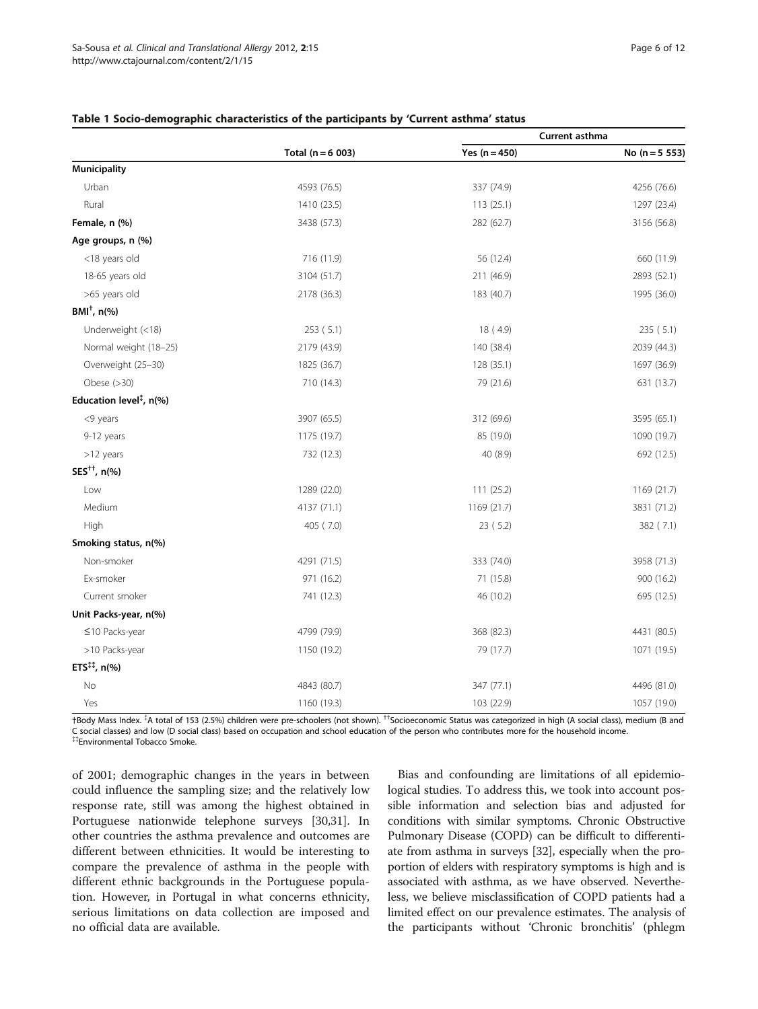|                                        |                     | <b>Current asthma</b> |                  |
|----------------------------------------|---------------------|-----------------------|------------------|
|                                        | Total $(n = 6 003)$ | Yes $(n = 450)$       | No $(n = 5 553)$ |
| <b>Municipality</b>                    |                     |                       |                  |
| Urban                                  | 4593 (76.5)         | 337 (74.9)            | 4256 (76.6)      |
| Rural                                  | 1410 (23.5)         | 113(25.1)             | 1297 (23.4)      |
| Female, n (%)                          | 3438 (57.3)         | 282 (62.7)            | 3156 (56.8)      |
| Age groups, n (%)                      |                     |                       |                  |
| <18 years old                          | 716 (11.9)          | 56 (12.4)             | 660 (11.9)       |
| 18-65 years old                        | 3104 (51.7)         | 211 (46.9)            | 2893 (52.1)      |
| >65 years old                          | 2178 (36.3)         | 183 (40.7)            | 1995 (36.0)      |
| $BMI^{\dagger}$ , n(%)                 |                     |                       |                  |
| Underweight (<18)                      | 253(5.1)            | 18 (4.9)              | 235(5.1)         |
| Normal weight (18-25)                  | 2179 (43.9)         | 140 (38.4)            | 2039 (44.3)      |
| Overweight (25-30)                     | 1825 (36.7)         | 128 (35.1)            | 1697 (36.9)      |
| Obese $(>30)$                          | 710 (14.3)          | 79 (21.6)             | 631 (13.7)       |
| Education level <sup>‡</sup> , $n$ (%) |                     |                       |                  |
| <9 years                               | 3907 (65.5)         | 312 (69.6)            | 3595 (65.1)      |
| 9-12 years                             | 1175 (19.7)         | 85 (19.0)             | 1090 (19.7)      |
| >12 years                              | 732 (12.3)          | 40 (8.9)              | 692 (12.5)       |
| SES <sup>++</sup> , n(%)               |                     |                       |                  |
| Low                                    | 1289 (22.0)         | 111(25.2)             | 1169 (21.7)      |
| Medium                                 | 4137 (71.1)         | 1169 (21.7)           | 3831 (71.2)      |
| High                                   | 405 (7.0)           | 23 (5.2)              | 382 (7.1)        |
| Smoking status, n(%)                   |                     |                       |                  |
| Non-smoker                             | 4291 (71.5)         | 333 (74.0)            | 3958 (71.3)      |
| Ex-smoker                              | 971 (16.2)          | 71 (15.8)             | 900 (16.2)       |
| Current smoker                         | 741 (12.3)          | 46 (10.2)             | 695 (12.5)       |
| Unit Packs-year, n(%)                  |                     |                       |                  |
| $\leq$ 10 Packs-year                   | 4799 (79.9)         | 368 (82.3)            | 4431 (80.5)      |
| >10 Packs-year                         | 1150 (19.2)         | 79 (17.7)             | 1071 (19.5)      |
| ETS $^{11}$ , n(%)                     |                     |                       |                  |
| No                                     | 4843 (80.7)         | 347 (77.1)            | 4496 (81.0)      |
| Yes                                    | 1160 (19.3)         | 103 (22.9)            | 1057 (19.0)      |

### <span id="page-5-0"></span>Table 1 Socio-demographic characteristics of the participants by 'Current asthma' status

†Body Mass Index. { A total of 153 (2.5%) children were pre-schoolers (not shown). ††Socioeconomic Status was categorized in high (A social class), medium (B and C social classes) and low (D social class) based on occupation and school education of the person who contributes more for the household income. {{Environmental Tobacco Smoke.

of 2001; demographic changes in the years in between could influence the sampling size; and the relatively low response rate, still was among the highest obtained in Portuguese nationwide telephone surveys [[30,31\]](#page-11-0). In other countries the asthma prevalence and outcomes are different between ethnicities. It would be interesting to compare the prevalence of asthma in the people with different ethnic backgrounds in the Portuguese population. However, in Portugal in what concerns ethnicity, serious limitations on data collection are imposed and no official data are available.

Bias and confounding are limitations of all epidemiological studies. To address this, we took into account possible information and selection bias and adjusted for conditions with similar symptoms. Chronic Obstructive Pulmonary Disease (COPD) can be difficult to differentiate from asthma in surveys [\[32](#page-11-0)], especially when the proportion of elders with respiratory symptoms is high and is associated with asthma, as we have observed. Nevertheless, we believe misclassification of COPD patients had a limited effect on our prevalence estimates. The analysis of the participants without 'Chronic bronchitis' (phlegm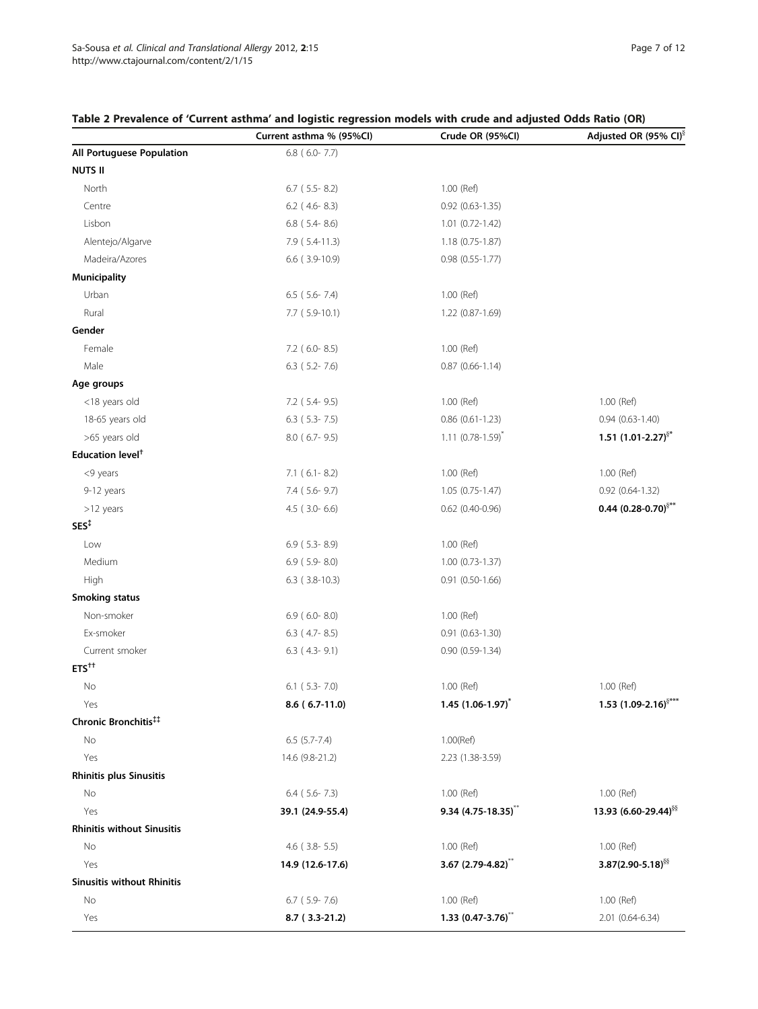|                                   | Current asthma % (95%CI) | Crude OR (95%CI)                | Adjusted OR (95% CI) <sup>§</sup> |
|-----------------------------------|--------------------------|---------------------------------|-----------------------------------|
| All Portuguese Population         | $6.8$ ( $6.0 - 7.7$ )    |                                 |                                   |
| <b>NUTS II</b>                    |                          |                                 |                                   |
| North                             | $6.7$ (5.5 - 8.2)        | 1.00 (Ref)                      |                                   |
| Centre                            | $6.2$ (4.6-8.3)          | $0.92$ $(0.63 - 1.35)$          |                                   |
| Lisbon                            | $6.8$ (5.4-8.6)          | 1.01 (0.72-1.42)                |                                   |
| Alentejo/Algarve                  | 7.9 (5.4-11.3)           | $1.18(0.75-1.87)$               |                                   |
| Madeira/Azores                    | $6.6$ ( $3.9-10.9$ )     | $0.98$ $(0.55 - 1.77)$          |                                   |
| Municipality                      |                          |                                 |                                   |
| Urban                             | $6.5$ (5.6-7.4)          | 1.00 (Ref)                      |                                   |
| Rural                             | 7.7 (5.9-10.1)           | 1.22 (0.87-1.69)                |                                   |
| Gender                            |                          |                                 |                                   |
| Female                            | 7.2 (6.0-8.5)            | 1.00 (Ref)                      |                                   |
| Male                              | $6.3$ (5.2-7.6)          | $0.87$ (0.66-1.14)              |                                   |
| Age groups                        |                          |                                 |                                   |
| <18 years old                     | 7.2 (5.4-9.5)            | 1.00 (Ref)                      | 1.00 (Ref)                        |
| 18-65 years old                   | $6.3$ (5.3-7.5)          | $0.86$ $(0.61 - 1.23)$          | $0.94(0.63 - 1.40)$               |
| >65 years old                     | 8.0 (6.7-9.5)            | $1.11 (0.78 - 1.59)^{*}$        | 1.51 $(1.01 - 2.27)^{5*}$         |
| Education level <sup>+</sup>      |                          |                                 |                                   |
| <9 years                          | $7.1$ (6.1-8.2)          | 1.00 (Ref)                      | 1.00 (Ref)                        |
| 9-12 years                        | $7.4$ (5.6-9.7)          | $1.05(0.75-1.47)$               | $0.92$ $(0.64-1.32)$              |
| >12 years                         | $4.5$ ( $3.0 - 6.6$ )    | $0.62$ (0.40-0.96)              | 0.44 $(0.28 - 0.70)^{\S^{**}}$    |
| SES <sup>T</sup>                  |                          |                                 |                                   |
| Low                               | $6.9$ (5.3-8.9)          | 1.00 (Ref)                      |                                   |
| Medium                            | $6.9$ (5.9-8.0)          | $1.00(0.73-1.37)$               |                                   |
| High                              | $6.3$ ( $3.8-10.3$ )     | 0.91 (0.50-1.66)                |                                   |
| <b>Smoking status</b>             |                          |                                 |                                   |
| Non-smoker                        | $6.9$ ( $6.0 - 8.0$ )    | 1.00 (Ref)                      |                                   |
| Ex-smoker                         | $6.3$ (4.7-8.5)          | $0.91$ $(0.63 - 1.30)$          |                                   |
| Current smoker                    | $6.3$ (4.3-9.1)          | $0.90(0.59-1.34)$               |                                   |
| $ETS^{++}$                        |                          |                                 |                                   |
| No                                | $6.1$ (5.3-7.0)          | 1.00 (Ref)                      | 1.00 (Ref)                        |
| Yes                               | $8.6(6.7-11.0)$          | $1.45$ (1.06-1.97) <sup>*</sup> | 1.53 (1.09-2.16) <sup>§***</sup>  |
| Chronic Bronchitis <sup>##</sup>  |                          |                                 |                                   |
| No                                | $6.5$ $(5.7 - 7.4)$      | $1.00$ (Ref)                    |                                   |
| Yes                               | 14.6 (9.8-21.2)          | 2.23 (1.38-3.59)                |                                   |
| <b>Rhinitis plus Sinusitis</b>    |                          |                                 |                                   |
| No                                | $6.4$ (5.6 - 7.3)        | 1.00 (Ref)                      | 1.00 (Ref)                        |
| Yes                               | 39.1 (24.9-55.4)         | 9.34 (4.75-18.35)**             | 13.93 (6.60-29.44) <sup>§§</sup>  |
| <b>Rhinitis without Sinusitis</b> |                          |                                 |                                   |
| No                                | $4.6$ ( $3.8 - 5.5$ )    | 1.00 (Ref)                      | 1.00 (Ref)                        |
| Yes                               | 14.9 (12.6-17.6)         | 3.67 $(2.79-4.82)^{**}$         | $3.87(2.90 - 5.18)^{55}$          |
| <b>Sinusitis without Rhinitis</b> |                          |                                 |                                   |
| No                                | $6.7$ (5.9-7.6)          | 1.00 (Ref)                      | 1.00 (Ref)                        |
| Yes                               | 8.7 (3.3-21.2)           | 1.33 $(0.47 - 3.76)^{**}$       | 2.01 (0.64-6.34)                  |

# <span id="page-6-0"></span>Table 2 Prevalence of 'Current asthma' and logistic regression models with crude and adjusted Odds Ratio (OR)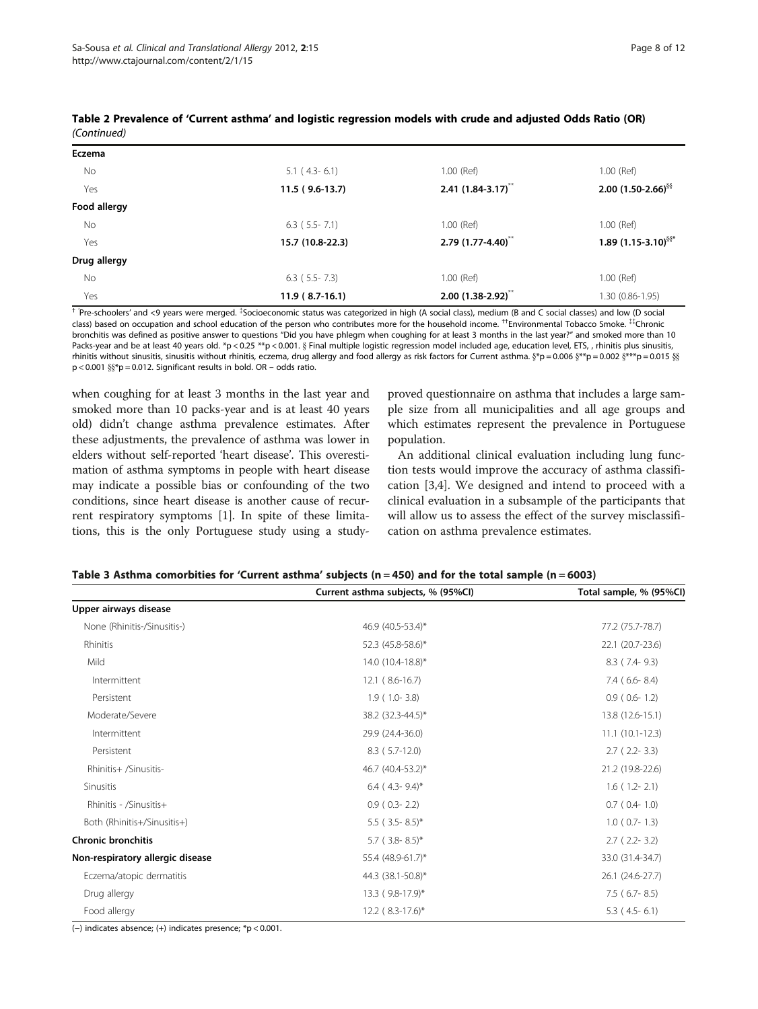| Eczema       |                   |                                  |                                   |
|--------------|-------------------|----------------------------------|-----------------------------------|
| No           | $5.1$ (4.3-6.1)   | 1.00 (Ref)                       | 1.00 (Ref)                        |
| Yes          | $11.5(9.6-13.7)$  | 2.41 $(1.84 - 3.17)^{**}$        | 2.00 $(1.50-2.66)^{88}$           |
| Food allergy |                   |                                  |                                   |
| No           | $6.3$ (5.5 - 7.1) | 1.00 (Ref)                       | $1.00$ (Ref)                      |
| Yes          | 15.7 (10.8-22.3)  | $2.79(1.77-4.40)^{**}$           | 1.89 $(1.15-3.10)$ <sup>§§*</sup> |
| Drug allergy |                   |                                  |                                   |
| No           | $6.3$ (5.5 - 7.3) | 1.00 (Ref)                       | 1.00 (Ref)                        |
| Yes          | $11.9(8.7-16.1)$  | $2.00$ (1.38-2.92) <sup>**</sup> | 1.30 (0.86-1.95)                  |

# <span id="page-7-0"></span>Table 2 Prevalence of 'Current asthma' and logistic regression models with crude and adjusted Odds Ratio (OR) (Continued)

† 'Pre-schoolers' and <9 years were merged. { Socioeconomic status was categorized in high (A social class), medium (B and C social classes) and low (D social class) based on occupation and school education of the person who contributes more for the household income. ††Environmental Tobacco Smoke. {{Chronic bronchitis was defined as positive answer to questions "Did you have phlegm when coughing for at least 3 months in the last year?" and smoked more than 10 Packs-year and be at least 40 years old. \*p < 0.25 \*\*p < 0.001. § Final multiple logistic regression model included age, education level, ETS, , rhinitis plus sinusitis, rhinitis without sinusitis, sinusitis without rhinitis, eczema, drug allergy and food allergy as risk factors for Current asthma.  $\frac{8}{7}p = 0.006 \frac{8}{5}p = 0.002 \frac{8}{5}p = 0.015 \frac{85}{100}$ p < 0.001 }}\*p = 0.012. Significant results in bold. OR – odds ratio.

when coughing for at least 3 months in the last year and smoked more than 10 packs-year and is at least 40 years old) didn't change asthma prevalence estimates. After these adjustments, the prevalence of asthma was lower in elders without self-reported 'heart disease'. This overestimation of asthma symptoms in people with heart disease may indicate a possible bias or confounding of the two conditions, since heart disease is another cause of recurrent respiratory symptoms [[1](#page-10-0)]. In spite of these limitations, this is the only Portuguese study using a studyproved questionnaire on asthma that includes a large sample size from all municipalities and all age groups and which estimates represent the prevalence in Portuguese population.

An additional clinical evaluation including lung function tests would improve the accuracy of asthma classification [[3,4\]](#page-10-0). We designed and intend to proceed with a clinical evaluation in a subsample of the participants that will allow us to assess the effect of the survey misclassification on asthma prevalence estimates.

|                                  | Current asthma subjects, % (95%Cl) | Total sample, % (95%CI) |
|----------------------------------|------------------------------------|-------------------------|
| Upper airways disease            |                                    |                         |
| None (Rhinitis-/Sinusitis-)      | 46.9 (40.5-53.4)*                  | 77.2 (75.7-78.7)        |
| Rhinitis                         | 52.3 (45.8-58.6)*                  | 22.1 (20.7-23.6)        |
| Mild                             | 14.0 (10.4-18.8)*                  | $8.3$ (7.4-9.3)         |
| Intermittent                     | $12.1(8.6-16.7)$                   | $7.4$ (6.6-8.4)         |
| Persistent                       | $1.9(1.0-3.8)$                     | $0.9$ ( $0.6 - 1.2$ )   |
| Moderate/Severe                  | 38.2 (32.3-44.5)*                  | 13.8 (12.6-15.1)        |
| Intermittent                     | 29.9 (24.4-36.0)                   | $11.1(10.1-12.3)$       |
| Persistent                       | $8.3$ (5.7-12.0)                   | $2.7$ ( $2.2 - 3.3$ )   |
| Rhinitis+ /Sinusitis-            | 46.7 (40.4-53.2)*                  | 21.2 (19.8-22.6)        |
| <b>Sinusitis</b>                 | $6.4$ (4.3-9.4)*                   | $1.6(1.2-2.1)$          |
| Rhinitis - /Sinusitis+           | $0.9$ ( $0.3 - 2.2$ )              | $0.7$ ( $0.4-1.0$ )     |
| Both (Rhinitis+/Sinusitis+)      | $5.5$ (3.5-8.5)*                   | $1.0$ ( $0.7 - 1.3$ )   |
| <b>Chronic bronchitis</b>        | $5.7$ (3.8-8.5)*                   | $2.7(2.2-3.2)$          |
| Non-respiratory allergic disease | 55.4 (48.9-61.7)*                  | 33.0 (31.4-34.7)        |
| Eczema/atopic dermatitis         | 44.3 (38.1-50.8)*                  | 26.1 (24.6-27.7)        |
| Drug allergy                     | 13.3 (9.8-17.9)*                   | $7.5$ (6.7-8.5)         |
| Food allergy                     | $12.2$ (8.3-17.6)*                 | $5.3$ (4.5-6.1)         |

# Table 3 Asthma comorbities for 'Current asthma' subjects ( $n = 450$ ) and for the total sample ( $n = 6003$ )

(−) indicates absence; (+) indicates presence; \*p < 0.001.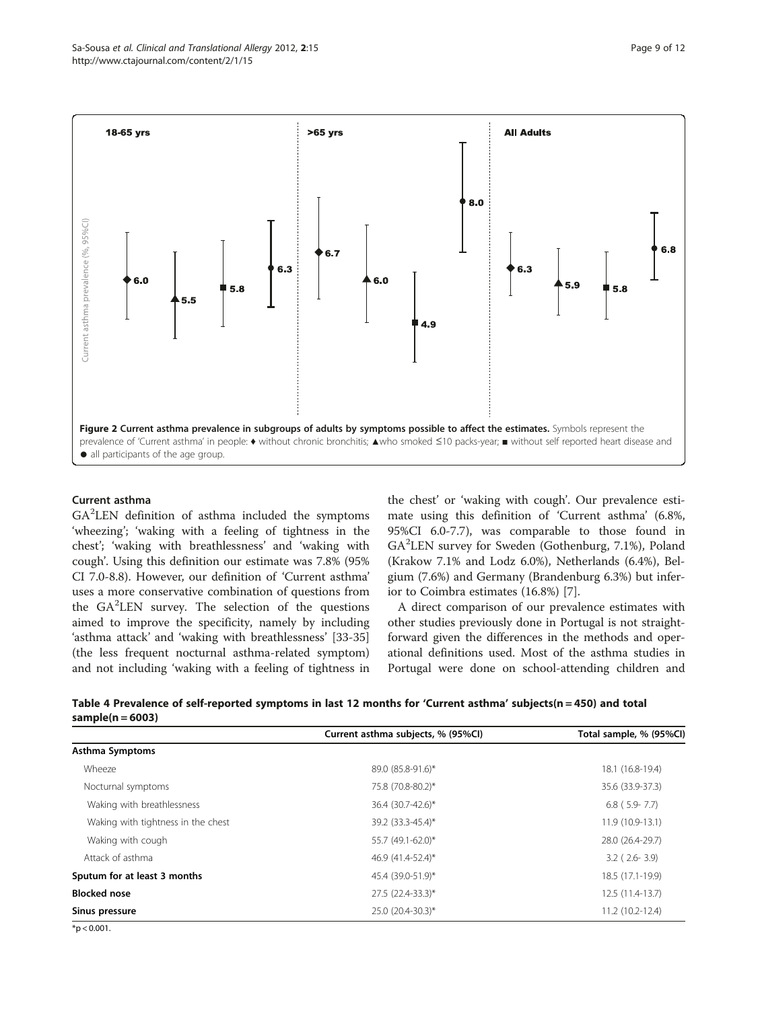<span id="page-8-0"></span>

# Current asthma

GA<sup>2</sup>LEN definition of asthma included the symptoms 'wheezing'; 'waking with a feeling of tightness in the chest'; 'waking with breathlessness' and 'waking with cough'. Using this definition our estimate was 7.8% (95% CI 7.0-8.8). However, our definition of 'Current asthma' uses a more conservative combination of questions from the GA<sup>2</sup>LEN survey. The selection of the questions aimed to improve the specificity, namely by including 'asthma attack' and 'waking with breathlessness' [\[33-35](#page-11-0)] (the less frequent nocturnal asthma-related symptom) and not including 'waking with a feeling of tightness in

the chest' or 'waking with cough'. Our prevalence estimate using this definition of 'Current asthma' (6.8%, 95%CI 6.0-7.7), was comparable to those found in GA<sup>2</sup> LEN survey for Sweden (Gothenburg, 7.1%), Poland (Krakow 7.1% and Lodz 6.0%), Netherlands (6.4%), Belgium (7.6%) and Germany (Brandenburg 6.3%) but inferior to Coimbra estimates (16.8%) [[7\]](#page-10-0).

A direct comparison of our prevalence estimates with other studies previously done in Portugal is not straightforward given the differences in the methods and operational definitions used. Most of the asthma studies in Portugal were done on school-attending children and

|                      |  | Table 4 Prevalence of self-reported symptoms in last 12 months for 'Current asthma' subjects(n = 450) and total |  |
|----------------------|--|-----------------------------------------------------------------------------------------------------------------|--|
| sample( $n = 6003$ ) |  |                                                                                                                 |  |

|                                    | Current asthma subjects, % (95%CI) | Total sample, % (95%Cl) |
|------------------------------------|------------------------------------|-------------------------|
| Asthma Symptoms                    |                                    |                         |
| Wheeze                             | 89.0 (85.8-91.6)*                  | 18.1 (16.8-19.4)        |
| Nocturnal symptoms                 | 75.8 (70.8-80.2)*                  | 35.6 (33.9-37.3)        |
| Waking with breathlessness         | 36.4 (30.7-42.6)*                  | $6.8$ (5.9 - 7.7)       |
| Waking with tightness in the chest | 39.2 (33.3-45.4)*                  | 11.9 (10.9-13.1)        |
| Waking with cough                  | 55.7 (49.1-62.0)*                  | 28.0 (26.4-29.7)        |
| Attack of asthma                   | 46.9 (41.4-52.4)*                  | $3.2$ ( $2.6 - 3.9$ )   |
| Sputum for at least 3 months       | 45.4 (39.0-51.9)*                  | 18.5 (17.1-19.9)        |
| <b>Blocked nose</b>                | 27.5 (22.4-33.3)*                  | 12.5 (11.4-13.7)        |
| Sinus pressure                     | 25.0 (20.4-30.3)*                  | 11.2 (10.2-12.4)        |

 $*p < 0.001$ .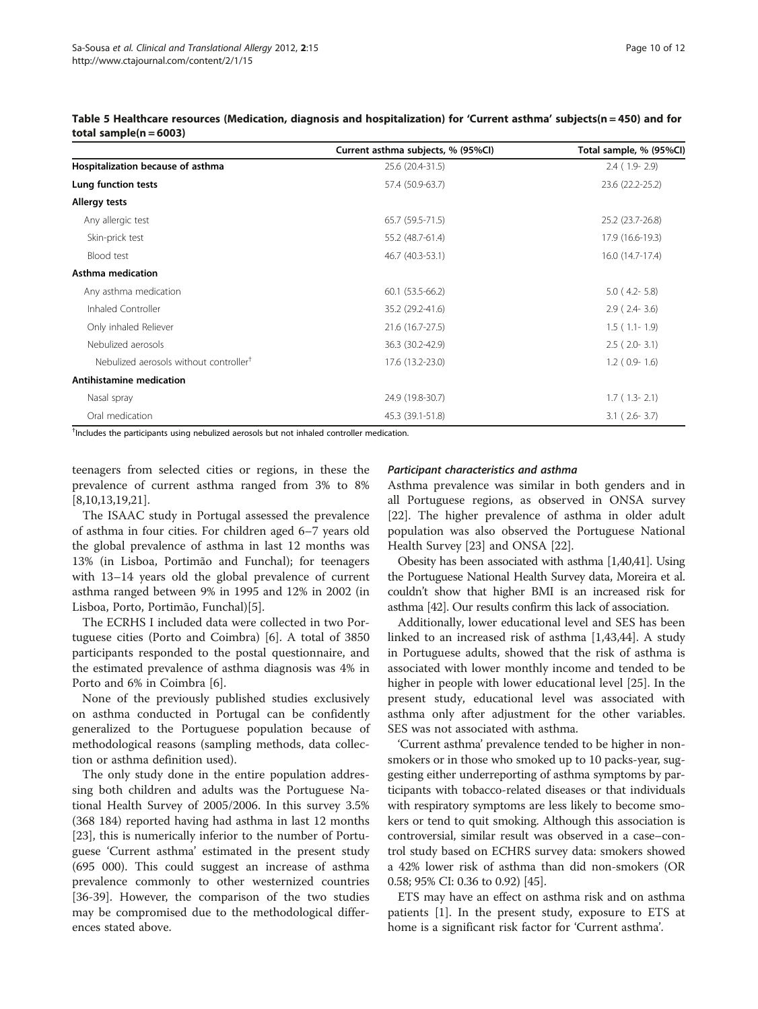|                                                    | Current asthma subjects, % (95%Cl) | Total sample, % (95%Cl) |
|----------------------------------------------------|------------------------------------|-------------------------|
| Hospitalization because of asthma                  | 25.6 (20.4-31.5)                   | $2.4(1.9-2.9)$          |
| Lung function tests                                | 57.4 (50.9-63.7)                   | 23.6 (22.2-25.2)        |
| Allergy tests                                      |                                    |                         |
| Any allergic test                                  | 65.7 (59.5-71.5)                   | 25.2 (23.7-26.8)        |
| Skin-prick test                                    | 55.2 (48.7-61.4)                   | 17.9 (16.6-19.3)        |
| Blood test                                         | 46.7 (40.3-53.1)                   | 16.0 (14.7-17.4)        |
| Asthma medication                                  |                                    |                         |
| Any asthma medication                              | $60.1(53.5-66.2)$                  | $5.0$ (4.2-5.8)         |
| Inhaled Controller                                 | 35.2 (29.2-41.6)                   | $2.9$ ( $2.4 - 3.6$ )   |
| Only inhaled Reliever                              | 21.6 (16.7-27.5)                   | $1.5(1.1-1.9)$          |
| Nebulized aerosols                                 | 36.3 (30.2-42.9)                   | $2.5$ ( $2.0 - 3.1$ )   |
| Nebulized aerosols without controller <sup>†</sup> | 17.6 (13.2-23.0)                   | $1.2$ ( $0.9 - 1.6$ )   |
| Antihistamine medication                           |                                    |                         |
| Nasal spray                                        | 24.9 (19.8-30.7)                   | $1.7(1.3-2.1)$          |
| Oral medication                                    | 45.3 (39.1-51.8)                   | $3.1$ ( $2.6 - 3.7$ )   |

<span id="page-9-0"></span>Table 5 Healthcare resources (Medication, diagnosis and hospitalization) for 'Current asthma' subjects(n = 450) and for total sample( $n = 6003$ )

† Includes the participants using nebulized aerosols but not inhaled controller medication.

teenagers from selected cities or regions, in these the prevalence of current asthma ranged from 3% to 8% [[8,10,13,19,](#page-10-0)[21\]](#page-11-0).

The ISAAC study in Portugal assessed the prevalence of asthma in four cities. For children aged 6–7 years old the global prevalence of asthma in last 12 months was 13% (in Lisboa, Portimão and Funchal); for teenagers with 13–14 years old the global prevalence of current asthma ranged between 9% in 1995 and 12% in 2002 (in Lisboa, Porto, Portimão, Funchal)[[5\]](#page-10-0).

The ECRHS I included data were collected in two Portuguese cities (Porto and Coimbra) [\[6](#page-10-0)]. A total of 3850 participants responded to the postal questionnaire, and the estimated prevalence of asthma diagnosis was 4% in Porto and 6% in Coimbra [[6\]](#page-10-0).

None of the previously published studies exclusively on asthma conducted in Portugal can be confidently generalized to the Portuguese population because of methodological reasons (sampling methods, data collection or asthma definition used).

The only study done in the entire population addressing both children and adults was the Portuguese National Health Survey of 2005/2006. In this survey 3.5% (368 184) reported having had asthma in last 12 months [[23\]](#page-11-0), this is numerically inferior to the number of Portuguese 'Current asthma' estimated in the present study (695 000). This could suggest an increase of asthma prevalence commonly to other westernized countries [[36-39](#page-11-0)]. However, the comparison of the two studies may be compromised due to the methodological differences stated above.

# Participant characteristics and asthma

Asthma prevalence was similar in both genders and in all Portuguese regions, as observed in ONSA survey [[22\]](#page-11-0). The higher prevalence of asthma in older adult population was also observed the Portuguese National Health Survey [[23\]](#page-11-0) and ONSA [\[22\]](#page-11-0).

Obesity has been associated with asthma [\[1](#page-10-0)[,40,41\]](#page-11-0). Using the Portuguese National Health Survey data, Moreira et al. couldn't show that higher BMI is an increased risk for asthma [[42\]](#page-11-0). Our results confirm this lack of association.

Additionally, lower educational level and SES has been linked to an increased risk of asthma [[1,](#page-10-0)[43,44\]](#page-11-0). A study in Portuguese adults, showed that the risk of asthma is associated with lower monthly income and tended to be higher in people with lower educational level [[25\]](#page-11-0). In the present study, educational level was associated with asthma only after adjustment for the other variables. SES was not associated with asthma.

'Current asthma' prevalence tended to be higher in nonsmokers or in those who smoked up to 10 packs-year, suggesting either underreporting of asthma symptoms by participants with tobacco-related diseases or that individuals with respiratory symptoms are less likely to become smokers or tend to quit smoking. Although this association is controversial, similar result was observed in a case–control study based on ECHRS survey data: smokers showed a 42% lower risk of asthma than did non-smokers (OR 0.58; 95% CI: 0.36 to 0.92) [[45](#page-11-0)].

ETS may have an effect on asthma risk and on asthma patients [[1\]](#page-10-0). In the present study, exposure to ETS at home is a significant risk factor for 'Current asthma'.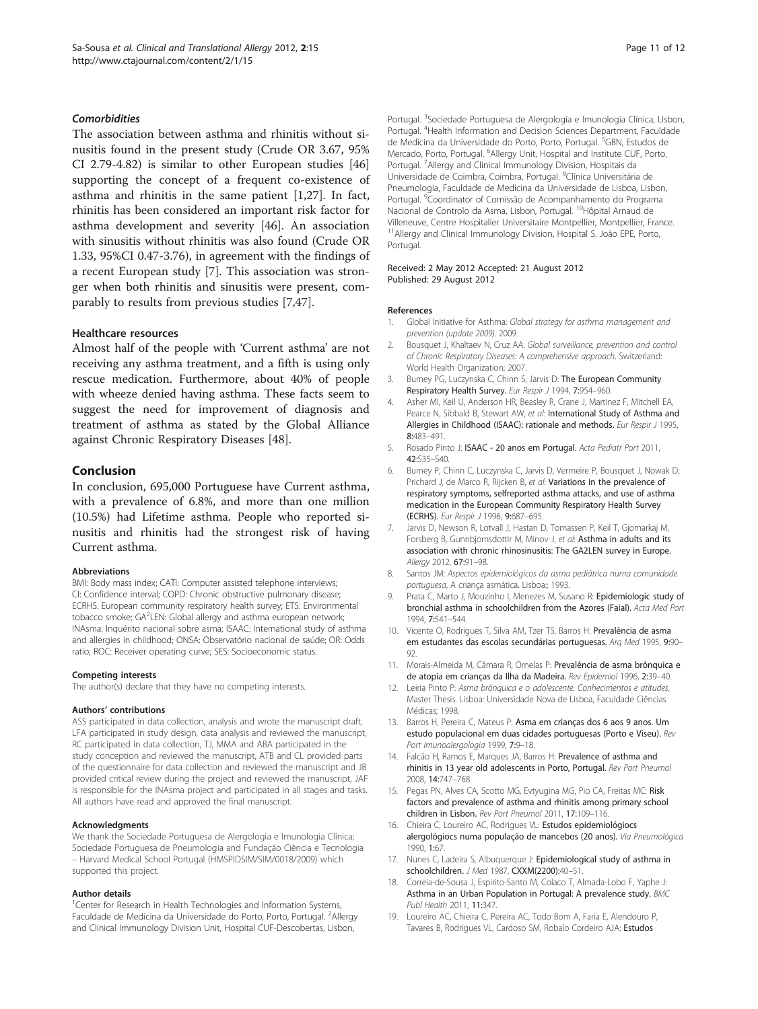# <span id="page-10-0"></span>**Comorbidities**

The association between asthma and rhinitis without sinusitis found in the present study (Crude OR 3.67, 95% CI 2.79-4.82) is similar to other European studies [[46](#page-11-0)] supporting the concept of a frequent co-existence of asthma and rhinitis in the same patient [1,[27\]](#page-11-0). In fact, rhinitis has been considered an important risk factor for asthma development and severity [\[46\]](#page-11-0). An association with sinusitis without rhinitis was also found (Crude OR 1.33, 95%CI 0.47-3.76), in agreement with the findings of a recent European study [7]. This association was stronger when both rhinitis and sinusitis were present, comparably to results from previous studies [7[,47\]](#page-11-0).

#### Healthcare resources

Almost half of the people with 'Current asthma' are not receiving any asthma treatment, and a fifth is using only rescue medication. Furthermore, about 40% of people with wheeze denied having asthma. These facts seem to suggest the need for improvement of diagnosis and treatment of asthma as stated by the Global Alliance against Chronic Respiratory Diseases [[48\]](#page-11-0).

# Conclusion

In conclusion, 695,000 Portuguese have Current asthma, with a prevalence of 6.8%, and more than one million (10.5%) had Lifetime asthma. People who reported sinusitis and rhinitis had the strongest risk of having Current asthma.

#### Abbreviations

BMI: Body mass index; CATI: Computer assisted telephone interviews; CI: Confidence interval; COPD: Chronic obstructive pulmonary disease; ECRHS: European community respiratory health survey; ETS: Environmental tobacco smoke; GA<sup>2</sup>LEN: Global allergy and asthma european network; INAsma: Inquérito nacional sobre asma; ISAAC: International study of asthma and allergies in childhood; ONSA: Observatório nacional de saúde; OR: Odds ratio; ROC: Receiver operating curve; SES: Socioeconomic status.

#### Competing interests

The author(s) declare that they have no competing interests.

#### Authors' contributions

ASS participated in data collection, analysis and wrote the manuscript draft, LFA participated in study design, data analysis and reviewed the manuscript, RC participated in data collection, TJ, MMA and ABA participated in the study conception and reviewed the manuscript, ATB and CL provided parts of the questionnaire for data collection and reviewed the manuscript and JB provided critical review during the project and reviewed the manuscript, JAF is responsible for the INAsma project and participated in all stages and tasks. All authors have read and approved the final manuscript.

#### Acknowledgments

We thank the Sociedade Portuguesa de Alergologia e Imunologia Clínica; Sociedade Portuguesa de Pneumologia and Fundação Ciência e Tecnologia – Harvard Medical School Portugal (HMSPIDSIM/SIM/0018/2009) which supported this project.

#### Author details

<sup>1</sup>Center for Research in Health Technologies and Information Systems, Faculdade de Medicina da Universidade do Porto, Porto, Portugal. <sup>2</sup>Allergy and Clinical Immunology Division Unit, Hospital CUF-Descobertas, Lisbon,

Portugal. <sup>3</sup>Sociedade Portuguesa de Alergologia e Imunologia Clínica, LIsbon, Portugal. <sup>4</sup> Health Information and Decision Sciences Department, Faculdade de Medicina da Universidade do Porto, Porto, Portugal. <sup>5</sup>GBN, Estudos de Mercado, Porto, Portugal. <sup>6</sup>Allergy Unit, Hospital and Institute CUF, Porto Portugal. <sup>7</sup> Allergy and Clinical Immunology Division, Hospitais da Universidade de Coimbra, Coimbra, Portugal. <sup>8</sup>Clínica Universitária de Pneumologia, Faculdade de Medicina da Universidade de Lisboa, Lisbon, Portugal. <sup>9</sup> Coordinator of Comissão de Acompanhamento do Programa Nacional de Controlo da Asma, Lisbon, Portugal. <sup>10</sup>Hôpital Arnaud de Villeneuve, Centre Hospitalier Universitaire Montpellier, Montpellier, France. 11Allergy and Clinical Immunology Division, Hospital S. João EPE, Porto, Portugal.

#### Received: 2 May 2012 Accepted: 21 August 2012 Published: 29 August 2012

#### References

- Global Initiative for Asthma: Global strategy for asthma management and prevention (update 2009). 2009.
- 2. Bousquet J, Khaltaev N, Cruz AA: Global surveillance, prevention and control of Chronic Respiratory Diseases: A comprehensive approach. Switzerland: World Health Organization; 2007.
- 3. Burney PG, Luczynska C, Chinn S, Jarvis D: The European Community Respiratory Health Survey. Eur Respir J 1994, 7:954-960.
- 4. Asher MI, Keil U, Anderson HR, Beasley R, Crane J, Martinez F, Mitchell EA, Pearce N, Sibbald B, Stewart AW, et al: International Study of Asthma and Allergies in Childhood (ISAAC): rationale and methods. Eur Respir J 1995, 8:483–491.
- 5. Rosado Pinto J: ISAAC 20 anos em Portugal. Acta Pediatr Port 2011, 42:S35–S40.
- 6. Burney P, Chinn C, Luczynska C, Jarvis D, Vermeire P, Bousquet J, Nowak D, Prichard J, de Marco R, Rijcken B, et al: Variations in the prevalence of respiratory symptoms, selfreported asthma attacks, and use of asthma medication in the European Community Respiratory Health Survey (ECRHS). Eur Respir J 1996, 9:687–695.
- 7. Jarvis D, Newson R, Lotvall J, Hastan D, Tomassen P, Keil T, Gjomarkaj M, Forsberg B, Gunnbjornsdottir M, Minov J, et al: Asthma in adults and its association with chronic rhinosinusitis: The GA2LEN survey in Europe. Allergy 2012, 67:91–98.
- 8. Santos JM: Aspectos epidemiológicos da asma pediátrica numa comunidade portuguesa, A criança asmática. Lisboa:; 1993.
- 9. Prata C, Marto J, Mouzinho J, Menezes M, Susano R; Epidemiologic study of bronchial asthma in schoolchildren from the Azores (Faial). Acta Med Port 1994, 7:541–544.
- 10. Vicente O, Rodrigues T, Silva AM, Tzer TS, Barros H: Prevalência de asma em estudantes das escolas secundárias portuguesas. Arq Med 1995, 9:90– 92
- 11. Morais-Almeida M, Câmara R, Ornelas P: Prevalência de asma brônquica e de atopia em crianças da Ilha da Madeira. Rev Epidemiol 1996, 2:39–40.
- 12. Leiria Pinto P: Asma brônquica e o adolescente. Conhecimentos e atitudes, Master Thesis. Lisboa: Universidade Nova de Lisboa, Faculdade Ciências Médicas; 1998.
- 13. Barros H, Pereira C, Mateus P: Asma em crianças dos 6 aos 9 anos. Um estudo populacional em duas cidades portuguesas (Porto e Viseu). Rev Port Imunoalergologia 1999, 7:9–18.
- 14. Falcão H, Ramos E, Marques JA, Barros H: Prevalence of asthma and rhinitis in 13 year old adolescents in Porto, Portugal. Rev Port Pneumol 2008, 14:747–768.
- 15. Pegas PN, Alves CA, Scotto MG, Evtyugina MG, Pio CA, Freitas MC: Risk factors and prevalence of asthma and rhinitis among primary school children in Lisbon. Rev Port Pneumol 2011, 17:109–116.
- 16. Chieira C, Loureiro AC, Rodrigues VL: Estudos epidemiológiocs alergológiocs numa população de mancebos (20 anos). Via Pneumológica 1990, 1:67.
- 17. Nunes C, Ladeira S, Albuquerque J: Epidemiological study of asthma in schoolchildren. J Med 1987, CXXM(2200):40–51.
- 18. Correia-de-Sousa J, Espirito-Santo M, Colaco T, Almada-Lobo F, Yaphe J: Asthma in an Urban Population in Portugal: A prevalence study. BMC Publ Health 2011, 11:347.
- 19. Loureiro AC, Chieira C, Pereira AC, Todo Bom A, Faria E, Alendouro P, Tavares B, Rodrigues VL, Cardoso SM, Robalo Cordeiro AJA: Estudos